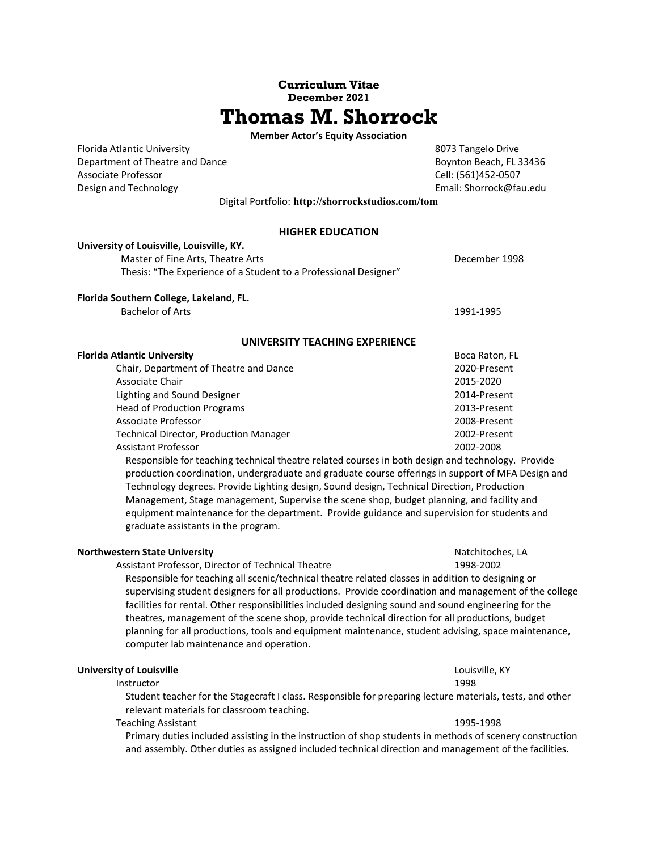# **Curriculum Vitae December 2021 Thomas M. Shorrock**

**Member Actor's Equity Association** 

Florida Atlantic University **8073** Tangelo Drive Department of Theatre and Dance **Boynton Beach, FL 33436** Associate Professor Cell: (561)452-0507 Design and Technology **Solution 2008** Contains a Library Email: Shorrock@fau.edu

Digital Portfolio: **http://shorrockstudios.com/tom** 

| <b>HIGHER EDUCATION</b>                                                                                   |                  |  |  |
|-----------------------------------------------------------------------------------------------------------|------------------|--|--|
| University of Louisville, Louisville, KY.                                                                 |                  |  |  |
| Master of Fine Arts, Theatre Arts                                                                         | December 1998    |  |  |
| Thesis: "The Experience of a Student to a Professional Designer"                                          |                  |  |  |
| Florida Southern College, Lakeland, FL.                                                                   |                  |  |  |
| <b>Bachelor of Arts</b>                                                                                   | 1991-1995        |  |  |
|                                                                                                           |                  |  |  |
| UNIVERSITY TEACHING EXPERIENCE                                                                            |                  |  |  |
| <b>Florida Atlantic University</b>                                                                        | Boca Raton, FL   |  |  |
| Chair, Department of Theatre and Dance                                                                    | 2020-Present     |  |  |
| Associate Chair                                                                                           | 2015-2020        |  |  |
| Lighting and Sound Designer                                                                               | 2014-Present     |  |  |
| <b>Head of Production Programs</b>                                                                        | 2013-Present     |  |  |
| <b>Associate Professor</b>                                                                                | 2008-Present     |  |  |
| <b>Technical Director, Production Manager</b>                                                             | 2002-Present     |  |  |
| <b>Assistant Professor</b>                                                                                | 2002-2008        |  |  |
| Responsible for teaching technical theatre related courses in both design and technology. Provide         |                  |  |  |
| production coordination, undergraduate and graduate course offerings in support of MFA Design and         |                  |  |  |
| Technology degrees. Provide Lighting design, Sound design, Technical Direction, Production                |                  |  |  |
| Management, Stage management, Supervise the scene shop, budget planning, and facility and                 |                  |  |  |
| equipment maintenance for the department. Provide guidance and supervision for students and               |                  |  |  |
| graduate assistants in the program.                                                                       |                  |  |  |
| <b>Northwestern State University</b>                                                                      | Natchitoches, LA |  |  |
| Assistant Professor, Director of Technical Theatre                                                        | 1998-2002        |  |  |
| Responsible for teaching all scenic/technical theatre related classes in addition to designing or         |                  |  |  |
| supervising student designers for all productions. Provide coordination and management of the college     |                  |  |  |
| facilities for rental. Other responsibilities included designing sound and sound engineering for the      |                  |  |  |
| theatres, management of the scene shop, provide technical direction for all productions, budget           |                  |  |  |
| planning for all productions, tools and equipment maintenance, student advising, space maintenance,       |                  |  |  |
| computer lab maintenance and operation.                                                                   |                  |  |  |
|                                                                                                           |                  |  |  |
| <b>University of Louisville</b>                                                                           | Louisville, KY   |  |  |
| Instructor                                                                                                | 1998             |  |  |
| Student teacher for the Stagecraft I class. Responsible for preparing lecture materials, tests, and other |                  |  |  |
| relevant materials for classroom teaching.                                                                |                  |  |  |
| <b>Teaching Assistant</b>                                                                                 | 1995-1998        |  |  |
| Primary duties included assisting in the instruction of shop students in methods of scenery construction  |                  |  |  |
| and assembly. Other duties as assigned included technical direction and management of the facilities.     |                  |  |  |
|                                                                                                           |                  |  |  |
|                                                                                                           |                  |  |  |
|                                                                                                           |                  |  |  |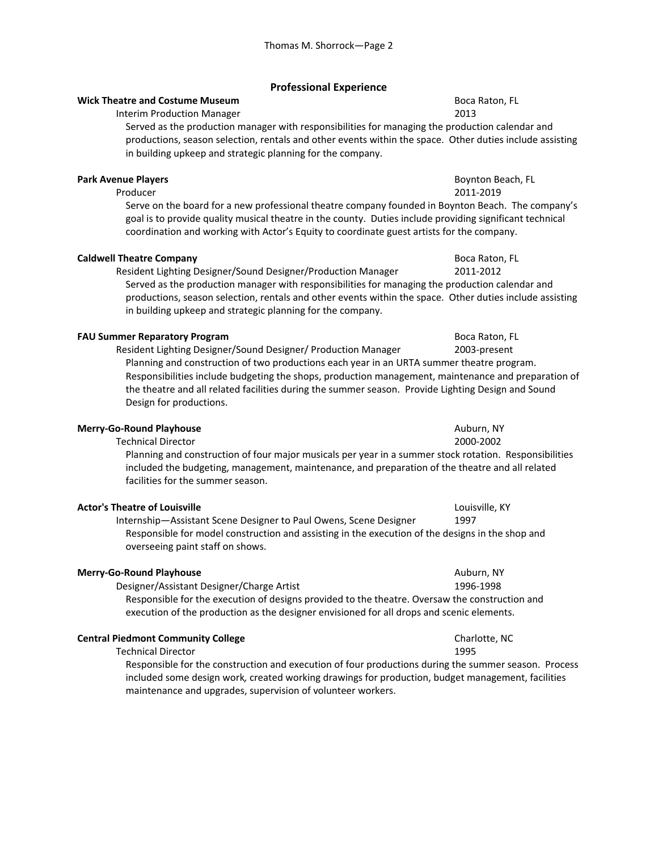# **Professional Experience**

# **Wick Theatre and Costume Museum**  Boca Raton, FL 88 and Boca Raton, FL

Interim Production Manager 2013

Served as the production manager with responsibilities for managing the production calendar and productions, season selection, rentals and other events within the space. Other duties include assisting in building upkeep and strategic planning for the company.

# **Park Avenue Players Boynton Beach, FL**

 Producer 2011‐2019 Serve on the board for a new professional theatre company founded in Boynton Beach. The company's goal is to provide quality musical theatre in the county. Duties include providing significant technical coordination and working with Actor's Equity to coordinate guest artists for the company.

## **Caldwell Theatre Company**  Boca Raton, FL **Boca Raton, FL** Boca Raton, FL

Resident Lighting Designer/Sound Designer/Production Manager 2011‐2012

Served as the production manager with responsibilities for managing the production calendar and productions, season selection, rentals and other events within the space. Other duties include assisting in building upkeep and strategic planning for the company.

## **FAU Summer Reparatory Program**  Boca Raton, FL 8000 Boca Raton, FL

Resident Lighting Designer/Sound Designer/ Production Manager 2003-present Planning and construction of two productions each year in an URTA summer theatre program. Responsibilities include budgeting the shops, production management, maintenance and preparation of the theatre and all related facilities during the summer season. Provide Lighting Design and Sound Design for productions.

## **Merry-Go-Round Playhouse Auburn, NY Auburn, NY Auburn, NY**

Technical Director 2000‐2002

 Planning and construction of four major musicals per year in a summer stock rotation. Responsibilities included the budgeting, management, maintenance, and preparation of the theatre and all related facilities for the summer season.

### **Actor's Theatre of Louisville** Louisville, KY

 Internship—Assistant Scene Designer to Paul Owens, Scene Designer 1997 Responsible for model construction and assisting in the execution of the designs in the shop and overseeing paint staff on shows.

### **Merry-Go-Round Playhouse** Auburn, NY

Designer/Assistant Designer/Charge Artist 1996‐1998

 Responsible for the execution of designs provided to the theatre. Oversaw the construction and execution of the production as the designer envisioned for all drops and scenic elements.

## **Central Piedmont Community College Charlotter Charlotte, NC** Charlotte, NC

Technical Director 1995

 Responsible for the construction and execution of four productions during the summer season. Process included some design work*,* created working drawings for production, budget management, facilities maintenance and upgrades, supervision of volunteer workers.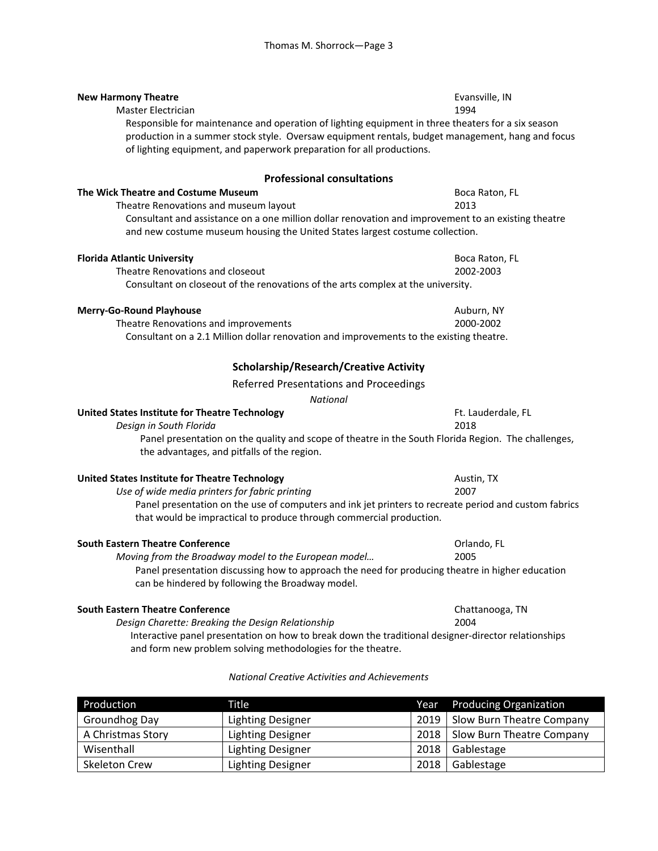| <b>New Harmony Theatre</b><br>Master Electrician<br>Responsible for maintenance and operation of lighting equipment in three theaters for a six season<br>production in a summer stock style. Oversaw equipment rentals, budget management, hang and focus<br>of lighting equipment, and paperwork preparation for all productions. | Evansville, IN<br>1994 |  |  |
|-------------------------------------------------------------------------------------------------------------------------------------------------------------------------------------------------------------------------------------------------------------------------------------------------------------------------------------|------------------------|--|--|
| <b>Professional consultations</b>                                                                                                                                                                                                                                                                                                   |                        |  |  |
| The Wick Theatre and Costume Museum                                                                                                                                                                                                                                                                                                 | Boca Raton, FL         |  |  |
| Theatre Renovations and museum layout<br>Consultant and assistance on a one million dollar renovation and improvement to an existing theatre<br>and new costume museum housing the United States largest costume collection.                                                                                                        | 2013                   |  |  |
| <b>Florida Atlantic University</b>                                                                                                                                                                                                                                                                                                  | Boca Raton, FL         |  |  |
| Theatre Renovations and closeout<br>Consultant on closeout of the renovations of the arts complex at the university.                                                                                                                                                                                                                | 2002-2003              |  |  |
| <b>Merry-Go-Round Playhouse</b>                                                                                                                                                                                                                                                                                                     | Auburn, NY             |  |  |
| Theatre Renovations and improvements<br>Consultant on a 2.1 Million dollar renovation and improvements to the existing theatre.                                                                                                                                                                                                     | 2000-2002              |  |  |
| <b>Scholarship/Research/Creative Activity</b>                                                                                                                                                                                                                                                                                       |                        |  |  |
| Referred Presentations and Proceedings                                                                                                                                                                                                                                                                                              |                        |  |  |
| <b>National</b>                                                                                                                                                                                                                                                                                                                     |                        |  |  |
| United States Institute for Theatre Technology                                                                                                                                                                                                                                                                                      | Ft. Lauderdale, FL     |  |  |
| Design in South Florida<br>Panel presentation on the quality and scope of theatre in the South Florida Region. The challenges,<br>the advantages, and pitfalls of the region.                                                                                                                                                       | 2018                   |  |  |
| United States Institute for Theatre Technology                                                                                                                                                                                                                                                                                      | Austin, TX             |  |  |
| Use of wide media printers for fabric printing                                                                                                                                                                                                                                                                                      | 2007                   |  |  |
| Panel presentation on the use of computers and ink jet printers to recreate period and custom fabrics<br>that would be impractical to produce through commercial production.                                                                                                                                                        |                        |  |  |
| <b>South Eastern Theatre Conference</b>                                                                                                                                                                                                                                                                                             | Orlando, FL            |  |  |
| Moving from the Broadway model to the European model                                                                                                                                                                                                                                                                                | 2005                   |  |  |
| Panel presentation discussing how to approach the need for producing theatre in higher education<br>can be hindered by following the Broadway model.                                                                                                                                                                                |                        |  |  |
| <b>South Eastern Theatre Conference</b>                                                                                                                                                                                                                                                                                             | Chattanooga, TN        |  |  |
| Design Charette: Breaking the Design Relationship                                                                                                                                                                                                                                                                                   | 2004                   |  |  |
| Interactive panel presentation on how to break down the traditional designer-director relationships<br>and form new problem solving methodologies for the theatre.                                                                                                                                                                  |                        |  |  |
| National Creative Activities and Achievements                                                                                                                                                                                                                                                                                       |                        |  |  |

| Production           | Title                    | Year | <b>Producing Organization</b>    |
|----------------------|--------------------------|------|----------------------------------|
| Groundhog Day        | <b>Lighting Designer</b> | 2019 | <b>Slow Burn Theatre Company</b> |
| A Christmas Story    | <b>Lighting Designer</b> | 2018 | Slow Burn Theatre Company        |
| Wisenthall           | Lighting Designer        | 2018 | Gablestage                       |
| <b>Skeleton Crew</b> | <b>Lighting Designer</b> | 2018 | Gablestage                       |

# *National Creative Activities and Achievements*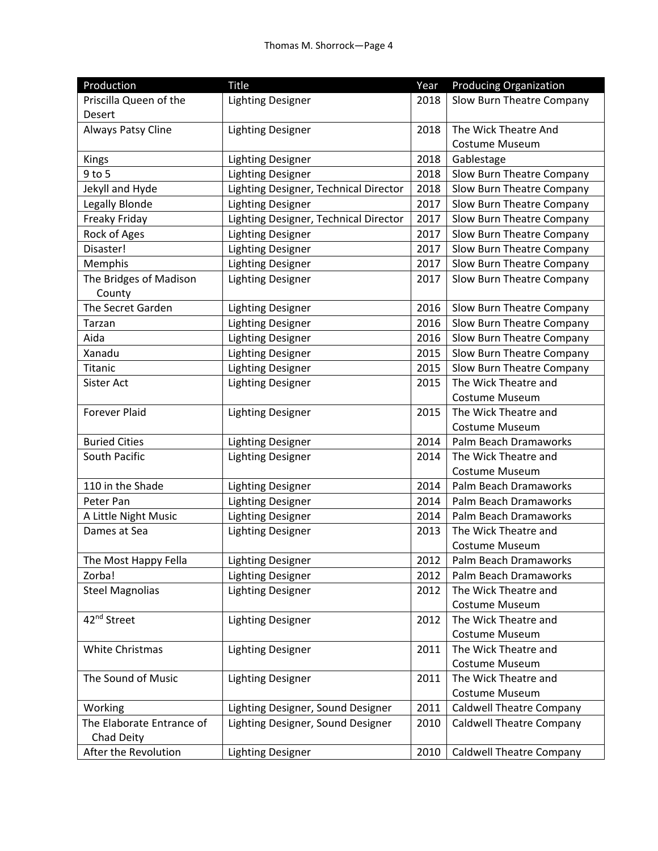| Production                              | <b>Title</b>                          | Year | <b>Producing Organization</b>   |
|-----------------------------------------|---------------------------------------|------|---------------------------------|
| Priscilla Queen of the                  | <b>Lighting Designer</b>              | 2018 | Slow Burn Theatre Company       |
| Desert                                  |                                       |      |                                 |
| Always Patsy Cline                      | <b>Lighting Designer</b>              | 2018 | The Wick Theatre And            |
|                                         |                                       |      | Costume Museum                  |
| Kings                                   | <b>Lighting Designer</b>              | 2018 | Gablestage                      |
| 9 to 5                                  | <b>Lighting Designer</b>              | 2018 | Slow Burn Theatre Company       |
| Jekyll and Hyde                         | Lighting Designer, Technical Director | 2018 | Slow Burn Theatre Company       |
| Legally Blonde                          | <b>Lighting Designer</b>              | 2017 | Slow Burn Theatre Company       |
| Freaky Friday                           | Lighting Designer, Technical Director | 2017 | Slow Burn Theatre Company       |
| Rock of Ages                            | <b>Lighting Designer</b>              | 2017 | Slow Burn Theatre Company       |
| Disaster!                               | <b>Lighting Designer</b>              | 2017 | Slow Burn Theatre Company       |
| Memphis                                 | <b>Lighting Designer</b>              | 2017 | Slow Burn Theatre Company       |
| The Bridges of Madison                  | <b>Lighting Designer</b>              | 2017 | Slow Burn Theatre Company       |
| County                                  |                                       |      |                                 |
| The Secret Garden                       | <b>Lighting Designer</b>              | 2016 | Slow Burn Theatre Company       |
| Tarzan                                  | <b>Lighting Designer</b>              | 2016 | Slow Burn Theatre Company       |
| Aida                                    | <b>Lighting Designer</b>              | 2016 | Slow Burn Theatre Company       |
| Xanadu                                  | <b>Lighting Designer</b>              | 2015 | Slow Burn Theatre Company       |
| Titanic                                 | <b>Lighting Designer</b>              | 2015 | Slow Burn Theatre Company       |
| Sister Act                              | <b>Lighting Designer</b>              | 2015 | The Wick Theatre and            |
|                                         |                                       |      | Costume Museum                  |
| <b>Forever Plaid</b>                    | <b>Lighting Designer</b>              | 2015 | The Wick Theatre and            |
|                                         |                                       |      | Costume Museum                  |
| <b>Buried Cities</b>                    | <b>Lighting Designer</b>              | 2014 | Palm Beach Dramaworks           |
| South Pacific                           | <b>Lighting Designer</b>              | 2014 | The Wick Theatre and            |
|                                         |                                       |      | <b>Costume Museum</b>           |
| 110 in the Shade                        | <b>Lighting Designer</b>              | 2014 | Palm Beach Dramaworks           |
| Peter Pan                               | <b>Lighting Designer</b>              | 2014 | Palm Beach Dramaworks           |
| A Little Night Music                    | <b>Lighting Designer</b>              | 2014 | Palm Beach Dramaworks           |
| Dames at Sea                            | <b>Lighting Designer</b>              | 2013 | The Wick Theatre and            |
|                                         |                                       |      | Costume Museum                  |
| The Most Happy Fella                    | <b>Lighting Designer</b>              |      | 2012   Palm Beach Dramaworks    |
| Zorba!                                  | <b>Lighting Designer</b>              | 2012 | Palm Beach Dramaworks           |
| <b>Steel Magnolias</b>                  | <b>Lighting Designer</b>              | 2012 | The Wick Theatre and            |
|                                         |                                       |      | Costume Museum                  |
| 42 <sup>nd</sup> Street                 | <b>Lighting Designer</b>              | 2012 | The Wick Theatre and            |
|                                         |                                       |      | Costume Museum                  |
| <b>White Christmas</b>                  | <b>Lighting Designer</b>              | 2011 | The Wick Theatre and            |
|                                         |                                       |      | Costume Museum                  |
| The Sound of Music                      | <b>Lighting Designer</b>              | 2011 | The Wick Theatre and            |
|                                         |                                       |      | Costume Museum                  |
| Working                                 | Lighting Designer, Sound Designer     | 2011 | <b>Caldwell Theatre Company</b> |
| The Elaborate Entrance of<br>Chad Deity | Lighting Designer, Sound Designer     | 2010 | <b>Caldwell Theatre Company</b> |
| After the Revolution                    | <b>Lighting Designer</b>              | 2010 | <b>Caldwell Theatre Company</b> |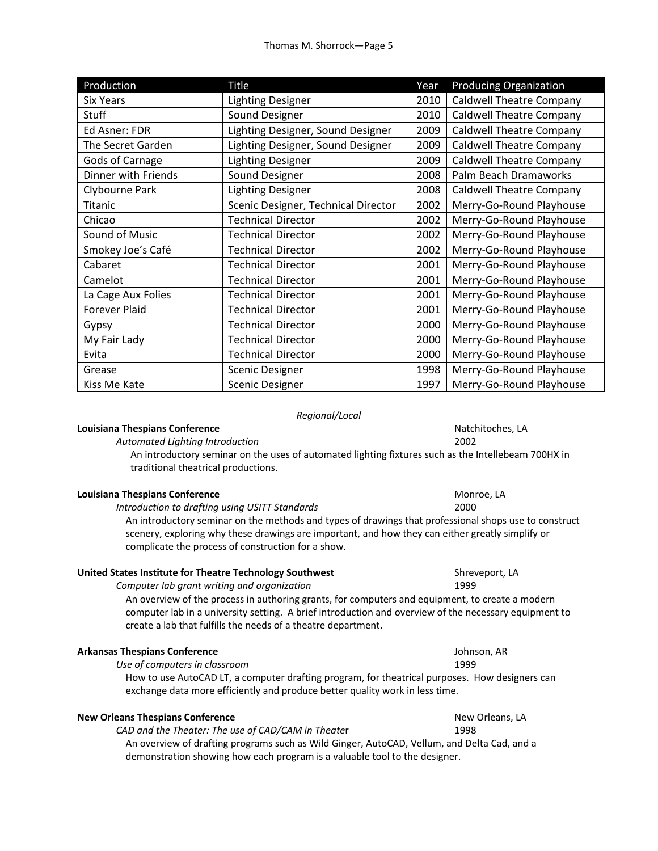| Production           | <b>Title</b>                        | Year | <b>Producing Organization</b>   |
|----------------------|-------------------------------------|------|---------------------------------|
| <b>Six Years</b>     | <b>Lighting Designer</b>            | 2010 | <b>Caldwell Theatre Company</b> |
| Stuff                | Sound Designer                      | 2010 | <b>Caldwell Theatre Company</b> |
| Ed Asner: FDR        | Lighting Designer, Sound Designer   | 2009 | <b>Caldwell Theatre Company</b> |
| The Secret Garden    | Lighting Designer, Sound Designer   | 2009 | <b>Caldwell Theatre Company</b> |
| Gods of Carnage      | <b>Lighting Designer</b>            | 2009 | <b>Caldwell Theatre Company</b> |
| Dinner with Friends  | Sound Designer                      | 2008 | Palm Beach Dramaworks           |
| Clybourne Park       | <b>Lighting Designer</b>            | 2008 | <b>Caldwell Theatre Company</b> |
| Titanic              | Scenic Designer, Technical Director | 2002 | Merry-Go-Round Playhouse        |
| Chicao               | <b>Technical Director</b>           | 2002 | Merry-Go-Round Playhouse        |
| Sound of Music       | <b>Technical Director</b>           | 2002 | Merry-Go-Round Playhouse        |
| Smokey Joe's Café    | <b>Technical Director</b>           | 2002 | Merry-Go-Round Playhouse        |
| Cabaret              | <b>Technical Director</b>           | 2001 | Merry-Go-Round Playhouse        |
| Camelot              | <b>Technical Director</b>           | 2001 | Merry-Go-Round Playhouse        |
| La Cage Aux Folies   | <b>Technical Director</b>           | 2001 | Merry-Go-Round Playhouse        |
| <b>Forever Plaid</b> | <b>Technical Director</b>           | 2001 | Merry-Go-Round Playhouse        |
| Gypsy                | <b>Technical Director</b>           | 2000 | Merry-Go-Round Playhouse        |
| My Fair Lady         | <b>Technical Director</b>           | 2000 | Merry-Go-Round Playhouse        |
| Evita                | <b>Technical Director</b>           | 2000 | Merry-Go-Round Playhouse        |
| Grease               | Scenic Designer                     | 1998 | Merry-Go-Round Playhouse        |
| Kiss Me Kate         | <b>Scenic Designer</b>              | 1997 | Merry-Go-Round Playhouse        |

### *Regional/Local*

### **Louisiana Thespians Conference Natchitoches, LA**

 *Automated Lighting Introduction*  2002

An introductory seminar on the uses of automated lighting fixtures such as the Intellebeam 700HX in traditional theatrical productions.

### **Louisiana Thespians Conference**  Monroe, LA

*Introduction to drafting using USITT Standards*  2000 An introductory seminar on the methods and types of drawings that professional shops use to construct scenery, exploring why these drawings are important, and how they can either greatly simplify or complicate the process of construction for a show.

# **United States Institute for Theatre Technology Southwest Material Shreveport, LA and Shreveport, LA**

*Computer lab grant writing and organization*  1999

 An overview of the process in authoring grants, for computers and equipment, to create a modern computer lab in a university setting. A brief introduction and overview of the necessary equipment to create a lab that fulfills the needs of a theatre department.

| <b>Arkansas Thespians Conference</b> |  |
|--------------------------------------|--|
|--------------------------------------|--|

Johnson, AR *Use of computers in classroom*  1999

 How to use AutoCAD LT, a computer drafting program, for theatrical purposes. How designers can exchange data more efficiently and produce better quality work in less time.

### **New Orleans Thespians Conference New Orleans, LA and Algorithm New Orleans, LA**

*CAD and the Theater: The use of CAD/CAM in Theater* 1998

 An overview of drafting programs such as Wild Ginger, AutoCAD, Vellum, and Delta Cad, and a demonstration showing how each program is a valuable tool to the designer.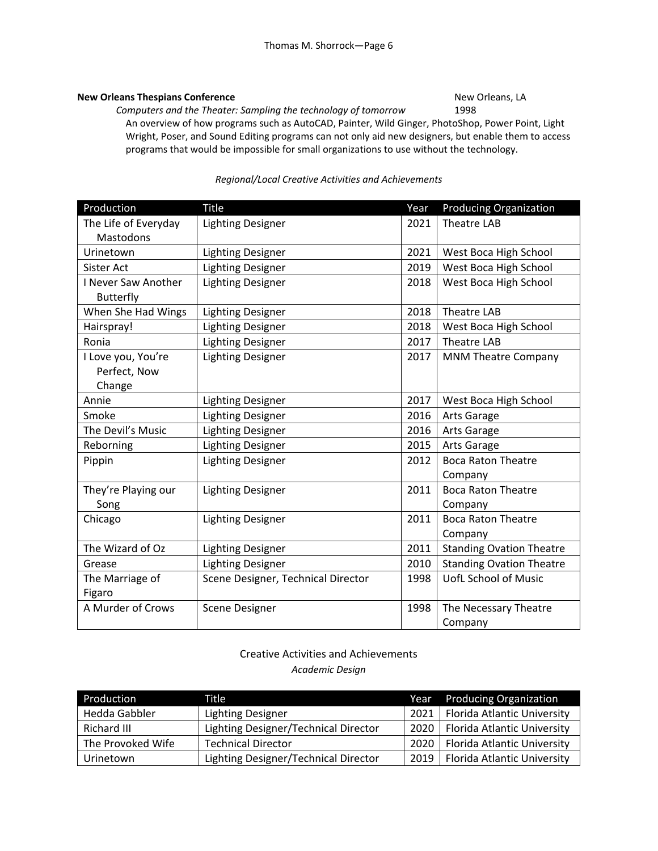# **New Orleans Thespians Conference New Orleans, LA and All 2016 (New Orleans, LA**

*Computers and the Theater: Sampling the technology of tomorrow*  1998 An overview of how programs such as AutoCAD, Painter, Wild Ginger, PhotoShop, Power Point, Light Wright, Poser, and Sound Editing programs can not only aid new designers, but enable them to access programs that would be impossible for small organizations to use without the technology.

# *Regional/Local Creative Activities and Achievements*

| Production           | <b>Title</b>                       | Year | <b>Producing Organization</b>   |
|----------------------|------------------------------------|------|---------------------------------|
| The Life of Everyday | <b>Lighting Designer</b>           | 2021 | <b>Theatre LAB</b>              |
| Mastodons            |                                    |      |                                 |
| Urinetown            | <b>Lighting Designer</b>           | 2021 | West Boca High School           |
| Sister Act           | <b>Lighting Designer</b>           | 2019 | West Boca High School           |
| I Never Saw Another  | <b>Lighting Designer</b>           | 2018 | West Boca High School           |
| Butterfly            |                                    |      |                                 |
| When She Had Wings   | <b>Lighting Designer</b>           | 2018 | <b>Theatre LAB</b>              |
| Hairspray!           | <b>Lighting Designer</b>           | 2018 | West Boca High School           |
| Ronia                | <b>Lighting Designer</b>           | 2017 | <b>Theatre LAB</b>              |
| I Love you, You're   | <b>Lighting Designer</b>           | 2017 | <b>MNM Theatre Company</b>      |
| Perfect, Now         |                                    |      |                                 |
| Change               |                                    |      |                                 |
| Annie                | <b>Lighting Designer</b>           | 2017 | West Boca High School           |
| Smoke                | <b>Lighting Designer</b>           | 2016 | Arts Garage                     |
| The Devil's Music    | <b>Lighting Designer</b>           | 2016 | Arts Garage                     |
| Reborning            | <b>Lighting Designer</b>           | 2015 | Arts Garage                     |
| Pippin               | <b>Lighting Designer</b>           | 2012 | <b>Boca Raton Theatre</b>       |
|                      |                                    |      | Company                         |
| They're Playing our  | <b>Lighting Designer</b>           | 2011 | <b>Boca Raton Theatre</b>       |
| Song                 |                                    |      | Company                         |
| Chicago              | <b>Lighting Designer</b>           | 2011 | <b>Boca Raton Theatre</b>       |
|                      |                                    |      | Company                         |
| The Wizard of Oz     | <b>Lighting Designer</b>           | 2011 | <b>Standing Ovation Theatre</b> |
| Grease               | <b>Lighting Designer</b>           | 2010 | <b>Standing Ovation Theatre</b> |
| The Marriage of      | Scene Designer, Technical Director | 1998 | <b>UofL School of Music</b>     |
| Figaro               |                                    |      |                                 |
| A Murder of Crows    | <b>Scene Designer</b>              | 1998 | The Necessary Theatre           |
|                      |                                    |      | Company                         |

# Creative Activities and Achievements *Academic Design*

| Production        | Title                                |      | Year Producing Organization |
|-------------------|--------------------------------------|------|-----------------------------|
| Hedda Gabbler     | <b>Lighting Designer</b>             | 2021 | Florida Atlantic University |
| Richard III       | Lighting Designer/Technical Director | 2020 | Florida Atlantic University |
| The Provoked Wife | <b>Technical Director</b>            | 2020 | Florida Atlantic University |
| Urinetown         | Lighting Designer/Technical Director | 2019 | Florida Atlantic University |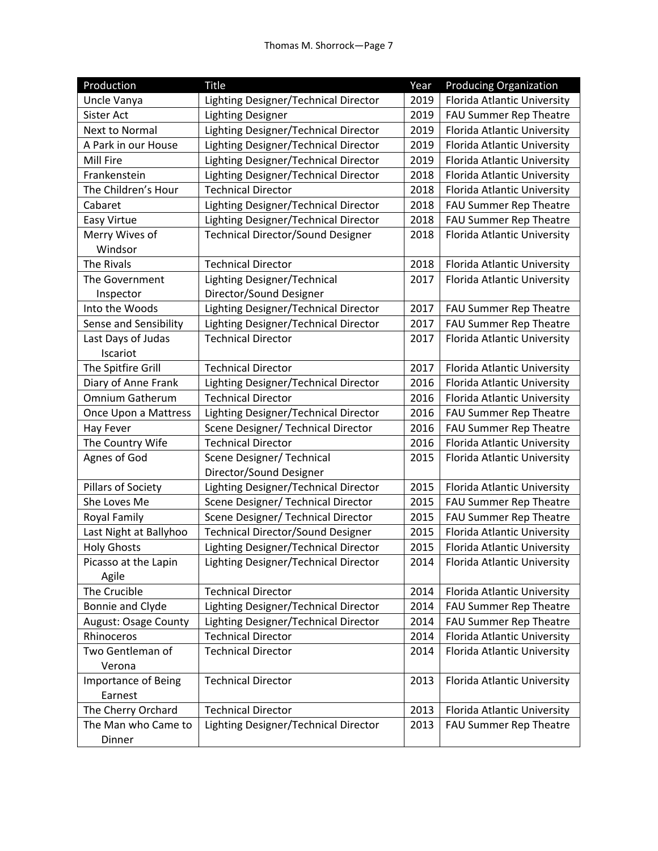| Production             | <b>Title</b>                             | Year | <b>Producing Organization</b> |
|------------------------|------------------------------------------|------|-------------------------------|
| Uncle Vanya            | Lighting Designer/Technical Director     | 2019 | Florida Atlantic University   |
| Sister Act             | <b>Lighting Designer</b>                 | 2019 | FAU Summer Rep Theatre        |
| Next to Normal         | Lighting Designer/Technical Director     | 2019 | Florida Atlantic University   |
| A Park in our House    | Lighting Designer/Technical Director     | 2019 | Florida Atlantic University   |
| Mill Fire              | Lighting Designer/Technical Director     | 2019 | Florida Atlantic University   |
| Frankenstein           | Lighting Designer/Technical Director     | 2018 | Florida Atlantic University   |
| The Children's Hour    | <b>Technical Director</b>                | 2018 | Florida Atlantic University   |
| Cabaret                | Lighting Designer/Technical Director     | 2018 | FAU Summer Rep Theatre        |
| Easy Virtue            | Lighting Designer/Technical Director     | 2018 | FAU Summer Rep Theatre        |
| Merry Wives of         | <b>Technical Director/Sound Designer</b> | 2018 | Florida Atlantic University   |
| Windsor                |                                          |      |                               |
| The Rivals             | <b>Technical Director</b>                | 2018 | Florida Atlantic University   |
| The Government         | Lighting Designer/Technical              | 2017 | Florida Atlantic University   |
| Inspector              | Director/Sound Designer                  |      |                               |
| Into the Woods         | Lighting Designer/Technical Director     | 2017 | FAU Summer Rep Theatre        |
| Sense and Sensibility  | Lighting Designer/Technical Director     | 2017 | FAU Summer Rep Theatre        |
| Last Days of Judas     | <b>Technical Director</b>                | 2017 | Florida Atlantic University   |
| Iscariot               |                                          |      |                               |
| The Spitfire Grill     | <b>Technical Director</b>                | 2017 | Florida Atlantic University   |
| Diary of Anne Frank    | Lighting Designer/Technical Director     | 2016 | Florida Atlantic University   |
| <b>Omnium Gatherum</b> | <b>Technical Director</b>                | 2016 | Florida Atlantic University   |
| Once Upon a Mattress   | Lighting Designer/Technical Director     | 2016 | FAU Summer Rep Theatre        |
| Hay Fever              | Scene Designer/ Technical Director       | 2016 | FAU Summer Rep Theatre        |
| The Country Wife       | <b>Technical Director</b>                | 2016 | Florida Atlantic University   |
| Agnes of God           | Scene Designer/ Technical                | 2015 | Florida Atlantic University   |
|                        | Director/Sound Designer                  |      |                               |
| Pillars of Society     | Lighting Designer/Technical Director     | 2015 | Florida Atlantic University   |
| She Loves Me           | Scene Designer/ Technical Director       | 2015 | FAU Summer Rep Theatre        |
| Royal Family           | Scene Designer/ Technical Director       | 2015 | FAU Summer Rep Theatre        |
| Last Night at Ballyhoo | <b>Technical Director/Sound Designer</b> | 2015 | Florida Atlantic University   |
| <b>Holy Ghosts</b>     | Lighting Designer/Technical Director     | 2015 | Florida Atlantic University   |
| Picasso at the Lapin   | Lighting Designer/Technical Director     | 2014 | Florida Atlantic University   |
| Agile                  |                                          |      |                               |
| The Crucible           | <b>Technical Director</b>                | 2014 | Florida Atlantic University   |
| Bonnie and Clyde       | Lighting Designer/Technical Director     | 2014 | FAU Summer Rep Theatre        |
| August: Osage County   | Lighting Designer/Technical Director     | 2014 | FAU Summer Rep Theatre        |
| Rhinoceros             | <b>Technical Director</b>                | 2014 | Florida Atlantic University   |
| Two Gentleman of       | <b>Technical Director</b>                | 2014 | Florida Atlantic University   |
| Verona                 |                                          |      |                               |
| Importance of Being    | <b>Technical Director</b>                | 2013 | Florida Atlantic University   |
| Earnest                |                                          |      |                               |
| The Cherry Orchard     | <b>Technical Director</b>                | 2013 | Florida Atlantic University   |
| The Man who Came to    | Lighting Designer/Technical Director     | 2013 | FAU Summer Rep Theatre        |
| Dinner                 |                                          |      |                               |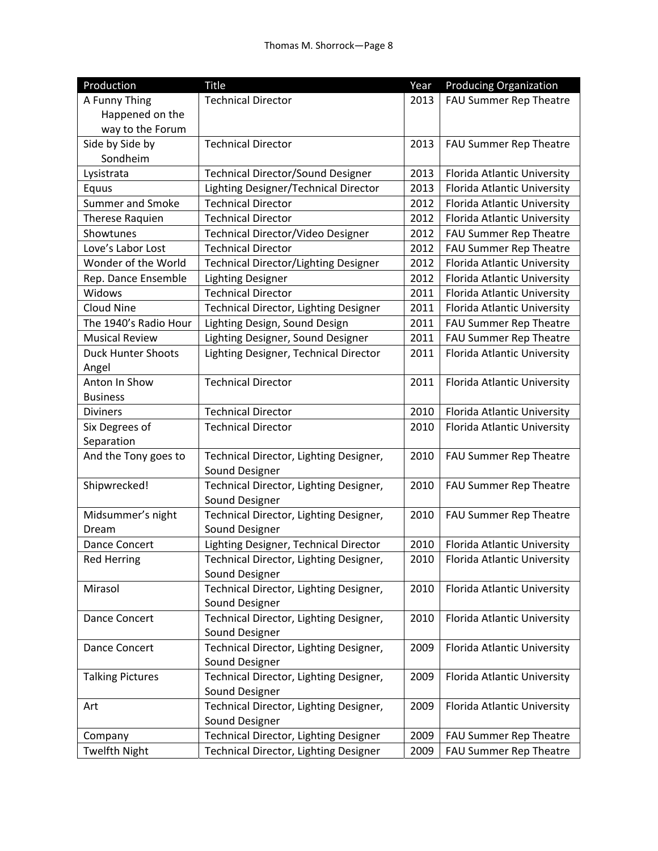| Production                | <b>Title</b>                             | Year | <b>Producing Organization</b> |
|---------------------------|------------------------------------------|------|-------------------------------|
| A Funny Thing             | <b>Technical Director</b>                | 2013 | FAU Summer Rep Theatre        |
| Happened on the           |                                          |      |                               |
| way to the Forum          |                                          |      |                               |
| Side by Side by           | <b>Technical Director</b>                | 2013 | FAU Summer Rep Theatre        |
| Sondheim                  |                                          |      |                               |
| Lysistrata                | <b>Technical Director/Sound Designer</b> | 2013 | Florida Atlantic University   |
| Equus                     | Lighting Designer/Technical Director     | 2013 | Florida Atlantic University   |
| <b>Summer and Smoke</b>   | <b>Technical Director</b>                | 2012 | Florida Atlantic University   |
| Therese Raquien           | <b>Technical Director</b>                | 2012 | Florida Atlantic University   |
| Showtunes                 | Technical Director/Video Designer        | 2012 | FAU Summer Rep Theatre        |
| Love's Labor Lost         | <b>Technical Director</b>                | 2012 | FAU Summer Rep Theatre        |
| Wonder of the World       | Technical Director/Lighting Designer     | 2012 | Florida Atlantic University   |
| Rep. Dance Ensemble       | <b>Lighting Designer</b>                 | 2012 | Florida Atlantic University   |
| <b>Widows</b>             | <b>Technical Director</b>                | 2011 | Florida Atlantic University   |
| Cloud Nine                | Technical Director, Lighting Designer    | 2011 | Florida Atlantic University   |
| The 1940's Radio Hour     | Lighting Design, Sound Design            | 2011 | FAU Summer Rep Theatre        |
| <b>Musical Review</b>     | Lighting Designer, Sound Designer        | 2011 | FAU Summer Rep Theatre        |
| <b>Duck Hunter Shoots</b> | Lighting Designer, Technical Director    | 2011 | Florida Atlantic University   |
| Angel                     |                                          |      |                               |
| Anton In Show             | <b>Technical Director</b>                | 2011 | Florida Atlantic University   |
| <b>Business</b>           |                                          |      |                               |
| <b>Diviners</b>           | <b>Technical Director</b>                | 2010 | Florida Atlantic University   |
| Six Degrees of            | <b>Technical Director</b>                | 2010 | Florida Atlantic University   |
| Separation                |                                          |      |                               |
| And the Tony goes to      | Technical Director, Lighting Designer,   | 2010 | FAU Summer Rep Theatre        |
|                           | Sound Designer                           |      |                               |
| Shipwrecked!              | Technical Director, Lighting Designer,   | 2010 | FAU Summer Rep Theatre        |
|                           | Sound Designer                           |      |                               |
| Midsummer's night         | Technical Director, Lighting Designer,   | 2010 | FAU Summer Rep Theatre        |
| Dream                     | Sound Designer                           |      |                               |
| Dance Concert             | Lighting Designer, Technical Director    | 2010 | Florida Atlantic University   |
| <b>Red Herring</b>        | Technical Director, Lighting Designer,   | 2010 | Florida Atlantic University   |
|                           | Sound Designer                           |      |                               |
| Mirasol                   | Technical Director, Lighting Designer,   | 2010 | Florida Atlantic University   |
|                           | Sound Designer                           |      |                               |
| Dance Concert             | Technical Director, Lighting Designer,   | 2010 | Florida Atlantic University   |
|                           | Sound Designer                           |      |                               |
| Dance Concert             | Technical Director, Lighting Designer,   | 2009 | Florida Atlantic University   |
|                           | Sound Designer                           |      |                               |
| <b>Talking Pictures</b>   | Technical Director, Lighting Designer,   | 2009 | Florida Atlantic University   |
|                           | Sound Designer                           |      |                               |
| Art                       | Technical Director, Lighting Designer,   | 2009 | Florida Atlantic University   |
|                           | Sound Designer                           |      |                               |
| Company                   | Technical Director, Lighting Designer    | 2009 | FAU Summer Rep Theatre        |
| <b>Twelfth Night</b>      | Technical Director, Lighting Designer    | 2009 | FAU Summer Rep Theatre        |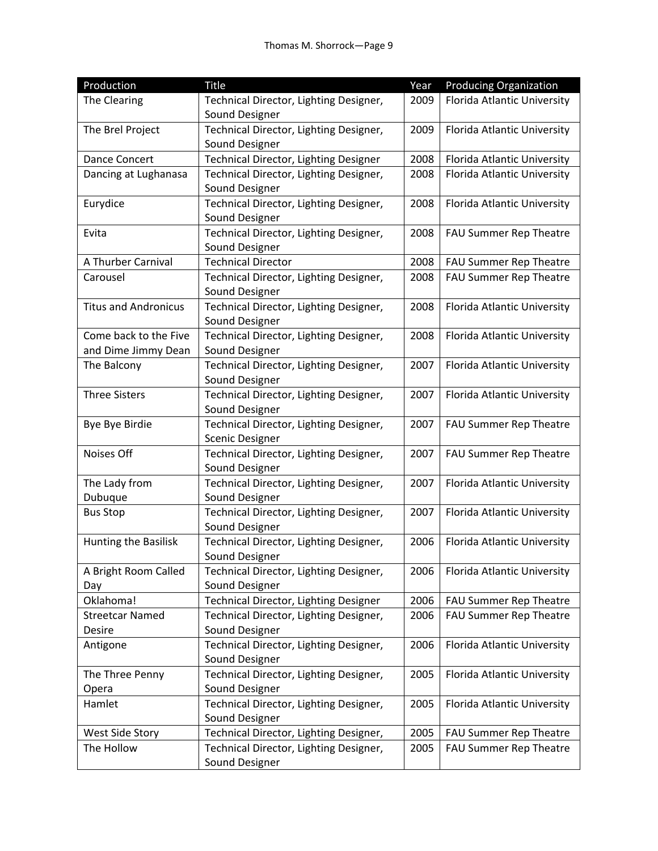| Production                  | <b>Title</b>                                             | Year | <b>Producing Organization</b>      |
|-----------------------------|----------------------------------------------------------|------|------------------------------------|
| The Clearing                | Technical Director, Lighting Designer,                   | 2009 | <b>Florida Atlantic University</b> |
|                             | Sound Designer                                           |      |                                    |
| The Brel Project            | Technical Director, Lighting Designer,                   | 2009 | Florida Atlantic University        |
|                             | Sound Designer                                           |      |                                    |
| <b>Dance Concert</b>        | Technical Director, Lighting Designer                    | 2008 | Florida Atlantic University        |
| Dancing at Lughanasa        | Technical Director, Lighting Designer,                   | 2008 | Florida Atlantic University        |
|                             | Sound Designer                                           |      |                                    |
| Eurydice                    | Technical Director, Lighting Designer,                   | 2008 | Florida Atlantic University        |
|                             | Sound Designer                                           |      |                                    |
| Evita                       | Technical Director, Lighting Designer,                   | 2008 | FAU Summer Rep Theatre             |
|                             | Sound Designer                                           |      |                                    |
| A Thurber Carnival          | <b>Technical Director</b>                                | 2008 | FAU Summer Rep Theatre             |
| Carousel                    | Technical Director, Lighting Designer,                   | 2008 | FAU Summer Rep Theatre             |
|                             | Sound Designer                                           |      |                                    |
| <b>Titus and Andronicus</b> | Technical Director, Lighting Designer,                   | 2008 | Florida Atlantic University        |
|                             | Sound Designer                                           |      |                                    |
| Come back to the Five       | Technical Director, Lighting Designer,                   | 2008 | Florida Atlantic University        |
| and Dime Jimmy Dean         | Sound Designer                                           |      |                                    |
| The Balcony                 | Technical Director, Lighting Designer,                   | 2007 | Florida Atlantic University        |
|                             | Sound Designer                                           |      |                                    |
| <b>Three Sisters</b>        | Technical Director, Lighting Designer,                   | 2007 | Florida Atlantic University        |
|                             | Sound Designer                                           |      |                                    |
| Bye Bye Birdie              | Technical Director, Lighting Designer,                   | 2007 | FAU Summer Rep Theatre             |
| Noises Off                  | <b>Scenic Designer</b>                                   | 2007 |                                    |
|                             | Technical Director, Lighting Designer,<br>Sound Designer |      | FAU Summer Rep Theatre             |
| The Lady from               | Technical Director, Lighting Designer,                   | 2007 |                                    |
| Dubuque                     | Sound Designer                                           |      | Florida Atlantic University        |
| <b>Bus Stop</b>             | Technical Director, Lighting Designer,                   | 2007 | Florida Atlantic University        |
|                             | Sound Designer                                           |      |                                    |
| Hunting the Basilisk        | Technical Director, Lighting Designer,                   | 2006 | Florida Atlantic University        |
|                             | Sound Designer                                           |      |                                    |
| A Bright Room Called        | Technical Director, Lighting Designer,                   | 2006 | Florida Atlantic University        |
| Day                         | Sound Designer                                           |      |                                    |
| Oklahoma!                   | Technical Director, Lighting Designer                    | 2006 | FAU Summer Rep Theatre             |
| <b>Streetcar Named</b>      | Technical Director, Lighting Designer,                   | 2006 | FAU Summer Rep Theatre             |
| Desire                      | Sound Designer                                           |      |                                    |
| Antigone                    | Technical Director, Lighting Designer,                   | 2006 | Florida Atlantic University        |
|                             | Sound Designer                                           |      |                                    |
| The Three Penny             | Technical Director, Lighting Designer,                   | 2005 | Florida Atlantic University        |
| Opera                       | Sound Designer                                           |      |                                    |
| Hamlet                      | Technical Director, Lighting Designer,                   | 2005 | Florida Atlantic University        |
|                             | Sound Designer                                           |      |                                    |
| West Side Story             | Technical Director, Lighting Designer,                   | 2005 | FAU Summer Rep Theatre             |
| The Hollow                  | Technical Director, Lighting Designer,                   | 2005 | FAU Summer Rep Theatre             |
|                             | Sound Designer                                           |      |                                    |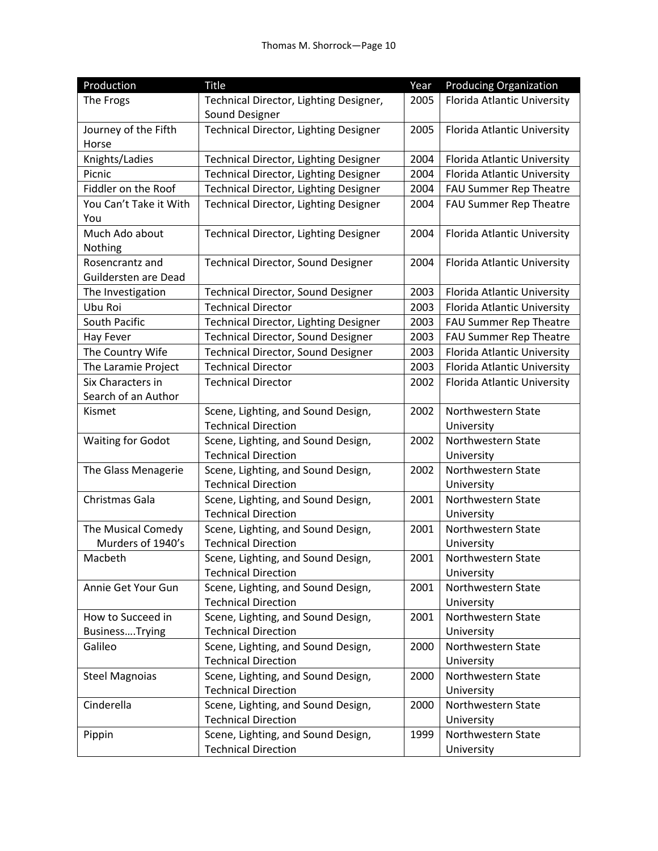| Production               | <b>Title</b>                           | Year | <b>Producing Organization</b> |
|--------------------------|----------------------------------------|------|-------------------------------|
| The Frogs                | Technical Director, Lighting Designer, | 2005 | Florida Atlantic University   |
|                          | Sound Designer                         |      |                               |
| Journey of the Fifth     | Technical Director, Lighting Designer  | 2005 | Florida Atlantic University   |
| Horse                    |                                        |      |                               |
| Knights/Ladies           | Technical Director, Lighting Designer  | 2004 | Florida Atlantic University   |
| Picnic                   | Technical Director, Lighting Designer  | 2004 | Florida Atlantic University   |
| Fiddler on the Roof      | Technical Director, Lighting Designer  | 2004 | FAU Summer Rep Theatre        |
| You Can't Take it With   | Technical Director, Lighting Designer  | 2004 | FAU Summer Rep Theatre        |
| You                      |                                        |      |                               |
| Much Ado about           | Technical Director, Lighting Designer  | 2004 | Florida Atlantic University   |
| Nothing                  |                                        |      |                               |
| Rosencrantz and          | Technical Director, Sound Designer     | 2004 | Florida Atlantic University   |
| Guildersten are Dead     |                                        |      |                               |
| The Investigation        | Technical Director, Sound Designer     | 2003 | Florida Atlantic University   |
| Ubu Roi                  | <b>Technical Director</b>              | 2003 | Florida Atlantic University   |
| South Pacific            | Technical Director, Lighting Designer  | 2003 | FAU Summer Rep Theatre        |
| Hay Fever                | Technical Director, Sound Designer     | 2003 | FAU Summer Rep Theatre        |
| The Country Wife         | Technical Director, Sound Designer     | 2003 | Florida Atlantic University   |
| The Laramie Project      | <b>Technical Director</b>              | 2003 | Florida Atlantic University   |
| Six Characters in        | <b>Technical Director</b>              | 2002 | Florida Atlantic University   |
| Search of an Author      |                                        |      |                               |
| Kismet                   | Scene, Lighting, and Sound Design,     | 2002 | Northwestern State            |
|                          | <b>Technical Direction</b>             |      | University                    |
| <b>Waiting for Godot</b> | Scene, Lighting, and Sound Design,     | 2002 | Northwestern State            |
|                          | <b>Technical Direction</b>             |      | University                    |
| The Glass Menagerie      | Scene, Lighting, and Sound Design,     | 2002 | Northwestern State            |
|                          | <b>Technical Direction</b>             |      | University                    |
| Christmas Gala           | Scene, Lighting, and Sound Design,     | 2001 | Northwestern State            |
|                          | <b>Technical Direction</b>             |      | University                    |
| The Musical Comedy       | Scene, Lighting, and Sound Design,     | 2001 | Northwestern State            |
| Murders of 1940's        | <b>Technical Direction</b>             |      | University                    |
| Macbeth                  | Scene, Lighting, and Sound Design,     | 2001 | Northwestern State            |
|                          | <b>Technical Direction</b>             |      | University                    |
| Annie Get Your Gun       | Scene, Lighting, and Sound Design,     | 2001 | Northwestern State            |
|                          | <b>Technical Direction</b>             |      | University                    |
| How to Succeed in        | Scene, Lighting, and Sound Design,     | 2001 | Northwestern State            |
| BusinessTrying           | <b>Technical Direction</b>             |      | University                    |
| Galileo                  | Scene, Lighting, and Sound Design,     | 2000 | Northwestern State            |
|                          | <b>Technical Direction</b>             |      | University                    |
| <b>Steel Magnoias</b>    | Scene, Lighting, and Sound Design,     | 2000 | Northwestern State            |
|                          | <b>Technical Direction</b>             |      | University                    |
| Cinderella               | Scene, Lighting, and Sound Design,     | 2000 | Northwestern State            |
|                          | <b>Technical Direction</b>             |      | University                    |
| Pippin                   | Scene, Lighting, and Sound Design,     | 1999 | Northwestern State            |
|                          | <b>Technical Direction</b>             |      | University                    |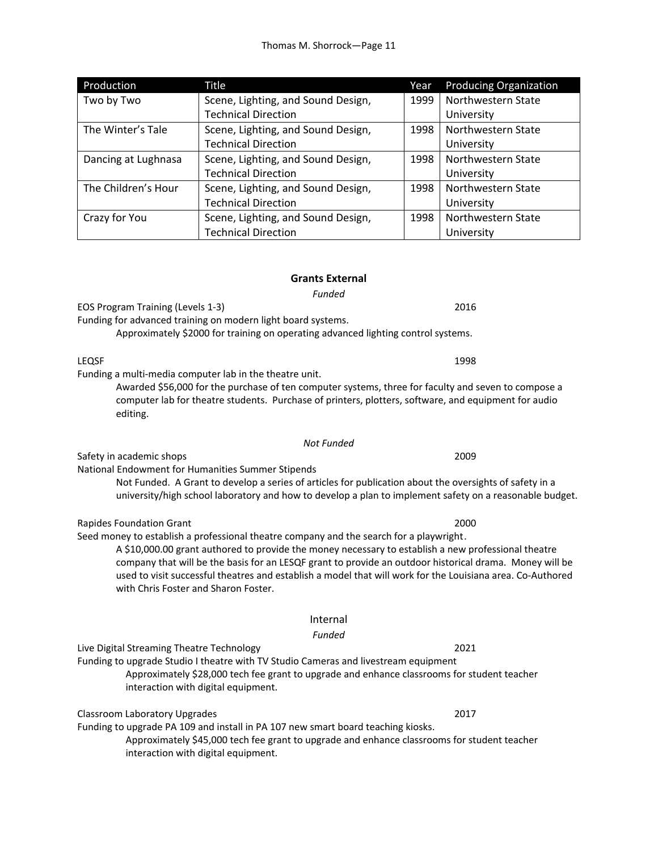| Production          | Title                              | Year | <b>Producing Organization</b> |
|---------------------|------------------------------------|------|-------------------------------|
| Two by Two          | Scene, Lighting, and Sound Design, | 1999 | Northwestern State            |
|                     | <b>Technical Direction</b>         |      | University                    |
| The Winter's Tale   | Scene, Lighting, and Sound Design, | 1998 | Northwestern State            |
|                     | <b>Technical Direction</b>         |      | University                    |
| Dancing at Lughnasa | Scene, Lighting, and Sound Design, | 1998 | Northwestern State            |
|                     | <b>Technical Direction</b>         |      | University                    |
| The Children's Hour | Scene, Lighting, and Sound Design, | 1998 | Northwestern State            |
|                     | <b>Technical Direction</b>         |      | University                    |
| Crazy for You       | Scene, Lighting, and Sound Design, | 1998 | Northwestern State            |
|                     | <b>Technical Direction</b>         |      | University                    |

# **Grants External**

*Funded* 

EOS Program Training (Levels 1‐3) 2016

Funding for advanced training on modern light board systems. Approximately \$2000 for training on operating advanced lighting control systems.

Funding a multi‐media computer lab in the theatre unit. Awarded \$56,000 for the purchase of ten computer systems, three for faculty and seven to compose a computer lab for theatre students. Purchase of printers, plotters, software, and equipment for audio editing.

*Not Funded* 

Safety in academic shops **2009 2009** 

National Endowment for Humanities Summer Stipends

Not Funded. A Grant to develop a series of articles for publication about the oversights of safety in a university/high school laboratory and how to develop a plan to implement safety on a reasonable budget.

Rapides Foundation Grant **2000** 

Seed money to establish a professional theatre company and the search for a playwright .

 A \$10,000.00 grant authored to provide the money necessary to establish a new professional theatre company that will be the basis for an LESQF grant to provide an outdoor historical drama. Money will be used to visit successful theatres and establish a model that will work for the Louisiana area. Co‐Authored with Chris Foster and Sharon Foster.

# Internal

*Funded* 

Live Digital Streaming Theatre Technology 2021

Funding to upgrade Studio I theatre with TV Studio Cameras and livestream equipment

Approximately \$28,000 tech fee grant to upgrade and enhance classrooms for student teacher interaction with digital equipment.

Classroom Laboratory Upgrades 2017

Funding to upgrade PA 109 and install in PA 107 new smart board teaching kiosks.

Approximately \$45,000 tech fee grant to upgrade and enhance classrooms for student teacher interaction with digital equipment.

LEQSF 1998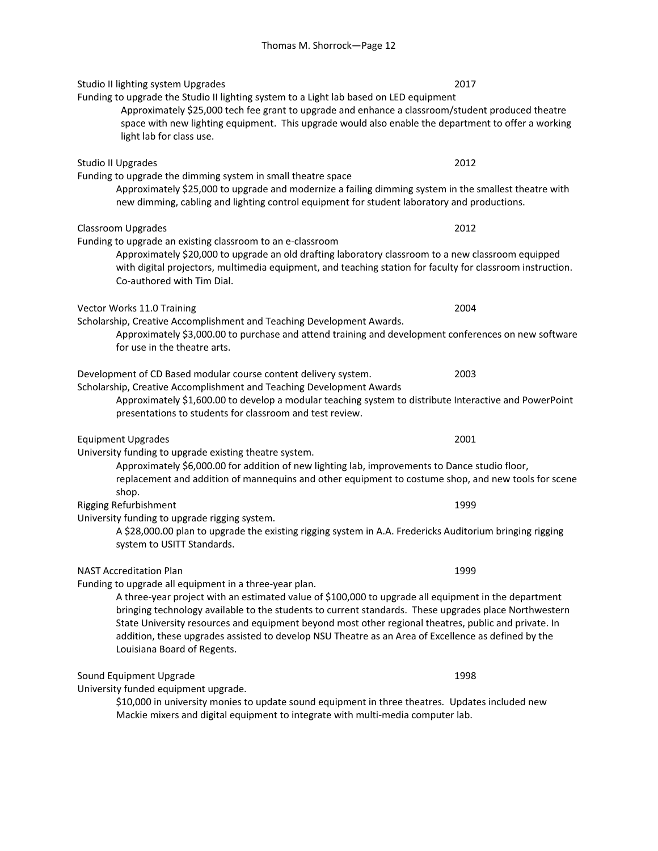Studio II lighting system Upgrades 2017 Funding to upgrade the Studio II lighting system to a Light lab based on LED equipment

Approximately \$25,000 tech fee grant to upgrade and enhance a classroom/student produced theatre space with new lighting equipment. This upgrade would also enable the department to offer a working light lab for class use.

Funding to upgrade the dimming system in small theatre space Approximately \$25,000 to upgrade and modernize a failing dimming system in the smallest theatre with new dimming, cabling and lighting control equipment for student laboratory and productions.

Classroom Upgrades 2012

Funding to upgrade an existing classroom to an e‐classroom

 Approximately \$20,000 to upgrade an old drafting laboratory classroom to a new classroom equipped with digital projectors, multimedia equipment, and teaching station for faculty for classroom instruction. Co‐authored with Tim Dial.

Vector Works 11.0 Training 2004

Scholarship, Creative Accomplishment and Teaching Development Awards.

Approximately \$3,000.00 to purchase and attend training and development conferences on new software for use in the theatre arts.

Development of CD Based modular course content delivery system. 2003

Scholarship, Creative Accomplishment and Teaching Development Awards

Approximately \$1,600.00 to develop a modular teaching system to distribute Interactive and PowerPoint presentations to students for classroom and test review.

Equipment Upgrades 2001

University funding to upgrade existing theatre system.

Approximately \$6,000.00 for addition of new lighting lab, improvements to Dance studio floor, replacement and addition of mannequins and other equipment to costume shop, and new tools for scene shop.

Rigging Refurbishment **1999** 

University funding to upgrade rigging system.

 A \$28,000.00 plan to upgrade the existing rigging system in A.A. Fredericks Auditorium bringing rigging system to USITT Standards.

# NAST Accreditation Plan 1999

Funding to upgrade all equipment in a three‐year plan.

 A three‐year project with an estimated value of \$100,000 to upgrade all equipment in the department bringing technology available to the students to current standards. These upgrades place Northwestern State University resources and equipment beyond most other regional theatres, public and private. In addition, these upgrades assisted to develop NSU Theatre as an Area of Excellence as defined by the Louisiana Board of Regents.

# Sound Equipment Upgrade **1998** and the state of the state of the state 1998 and the state of the state of the state of the state of the state of the state of the state of the state of the state of the state of the state of

University funded equipment upgrade.

 \$10,000 in university monies to update sound equipment in three theatres*.* Updates included new Mackie mixers and digital equipment to integrate with multi‐media computer lab.

Studio II Upgrades 2012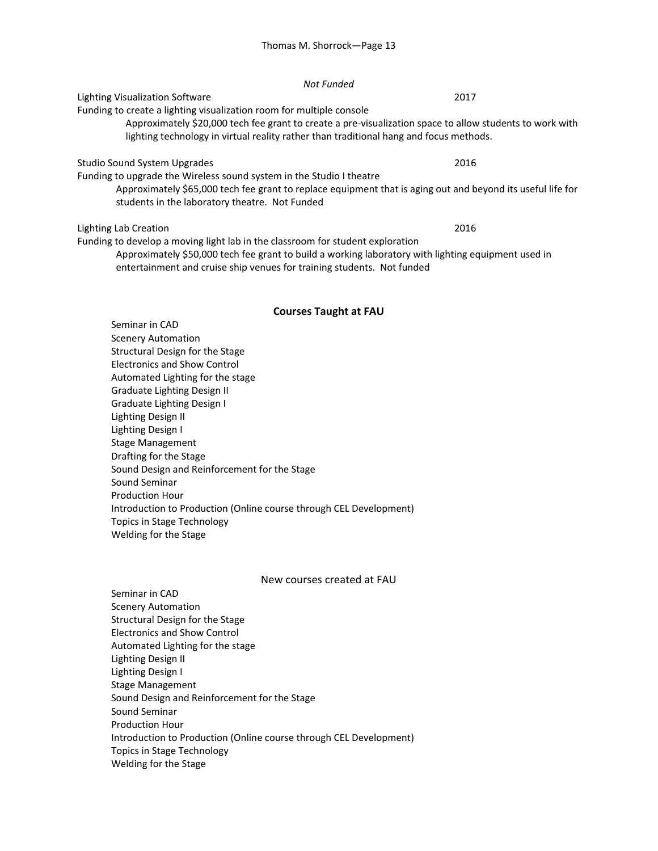### *Not Funded*

# Lighting Visualization Software 2017

Funding to create a lighting visualization room for multiple console

Approximately \$20,000 tech fee grant to create a pre‐visualization space to allow students to work with lighting technology in virtual reality rather than traditional hang and focus methods.

### Studio Sound System Upgrades 2016

Funding to upgrade the Wireless sound system in the Studio I theatre

Approximately \$65,000 tech fee grant to replace equipment that is aging out and beyond its useful life for students in the laboratory theatre. Not Funded

### Lighting Lab Creation 2016

Funding to develop a moving light lab in the classroom for student exploration

Approximately \$50,000 tech fee grant to build a working laboratory with lighting equipment used in entertainment and cruise ship venues for training students. Not funded

### **Courses Taught at FAU**

Seminar in CAD Scenery Automation Structural Design for the Stage Electronics and Show Control Automated Lighting for the stage Graduate Lighting Design II Graduate Lighting Design I Lighting Design II Lighting Design I Stage Management Drafting for the Stage Sound Design and Reinforcement for the Stage Sound Seminar Production Hour Introduction to Production (Online course through CEL Development) Topics in Stage Technology Welding for the Stage

## New courses created at FAU

Seminar in CAD Scenery Automation Structural Design for the Stage Electronics and Show Control Automated Lighting for the stage Lighting Design II Lighting Design I Stage Management Sound Design and Reinforcement for the Stage Sound Seminar Production Hour Introduction to Production (Online course through CEL Development) Topics in Stage Technology Welding for the Stage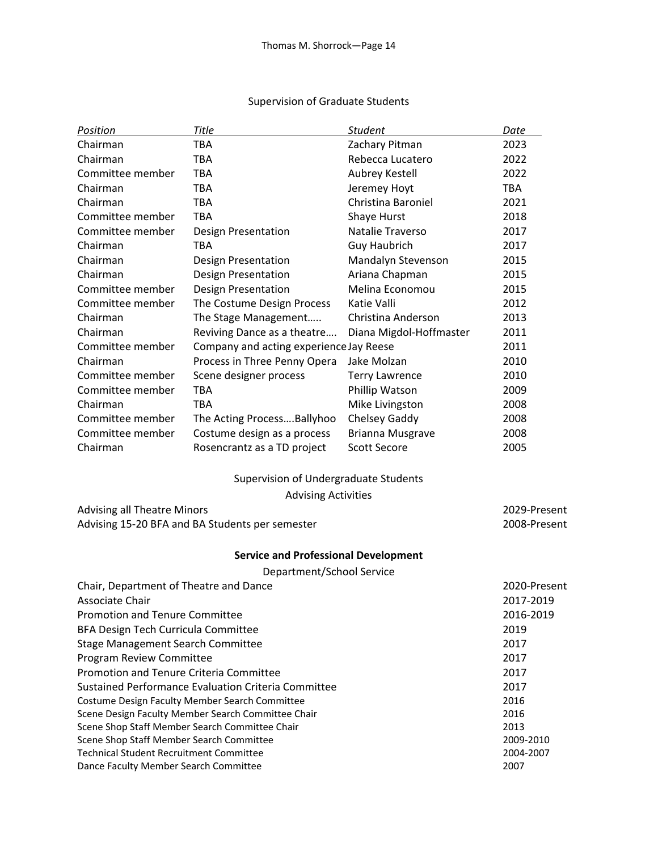# Supervision of Graduate Students

| Position                                            | Title                                           | <b>Student</b>          | Date         |
|-----------------------------------------------------|-------------------------------------------------|-------------------------|--------------|
| Chairman                                            | <b>TBA</b>                                      | Zachary Pitman          | 2023         |
| Chairman                                            | <b>TBA</b>                                      | Rebecca Lucatero        | 2022         |
| Committee member                                    | <b>TBA</b>                                      | Aubrey Kestell          | 2022         |
| Chairman                                            | <b>TBA</b>                                      | Jeremey Hoyt            | <b>TBA</b>   |
| Chairman                                            | <b>TBA</b>                                      | Christina Baroniel      | 2021         |
| Committee member                                    | <b>TBA</b>                                      | Shaye Hurst             | 2018         |
| Committee member                                    | Design Presentation                             | Natalie Traverso        | 2017         |
| Chairman                                            | <b>TBA</b>                                      | <b>Guy Haubrich</b>     | 2017         |
| Chairman                                            | <b>Design Presentation</b>                      | Mandalyn Stevenson      | 2015         |
| Chairman                                            | <b>Design Presentation</b>                      | Ariana Chapman          | 2015         |
| Committee member                                    | <b>Design Presentation</b>                      | Melina Economou         | 2015         |
| Committee member                                    | The Costume Design Process                      | Katie Valli             | 2012         |
| Chairman                                            | The Stage Management                            | Christina Anderson      | 2013         |
| Chairman                                            | Reviving Dance as a theatre                     | Diana Migdol-Hoffmaster | 2011         |
| Committee member                                    | Company and acting experience Jay Reese         |                         | 2011         |
| Chairman                                            | Process in Three Penny Opera                    | Jake Molzan             | 2010         |
| Committee member                                    | Scene designer process                          | <b>Terry Lawrence</b>   | 2010         |
| Committee member                                    | <b>TBA</b>                                      | Phillip Watson          | 2009         |
| Chairman                                            | <b>TBA</b>                                      | Mike Livingston         | 2008         |
| Committee member                                    | The Acting ProcessBallyhoo                      | Chelsey Gaddy           | 2008         |
| Committee member                                    | Costume design as a process                     | <b>Brianna Musgrave</b> | 2008         |
| Chairman                                            | Rosencrantz as a TD project                     | <b>Scott Secore</b>     | 2005         |
|                                                     | Supervision of Undergraduate Students           |                         |              |
|                                                     | <b>Advising Activities</b>                      |                         |              |
| <b>Advising all Theatre Minors</b>                  |                                                 |                         | 2029-Present |
|                                                     | Advising 15-20 BFA and BA Students per semester |                         | 2008-Present |
|                                                     | <b>Service and Professional Development</b>     |                         |              |
|                                                     | Department/School Service                       |                         |              |
| Chair, Department of Theatre and Dance              |                                                 |                         | 2020-Present |
| Associate Chair                                     | 2017-2019                                       |                         |              |
| <b>Promotion and Tenure Committee</b>               | 2016-2019                                       |                         |              |
| <b>BFA Design Tech Curricula Committee</b>          | 2019                                            |                         |              |
| <b>Stage Management Search Committee</b>            |                                                 |                         | 2017         |
| Program Review Committee                            |                                                 |                         | 2017         |
| Promotion and Tenure Criteria Committee             | 2017                                            |                         |              |
| Sustained Performance Evaluation Criteria Committee | 2017                                            |                         |              |
| Costume Design Faculty Member Search Committee      | 2016                                            |                         |              |
| Scene Design Faculty Member Search Committee Chair  | 2016                                            |                         |              |
| Scene Shop Staff Member Search Committee Chair      | 2013                                            |                         |              |
| Scene Shop Staff Member Search Committee            | 2009-2010                                       |                         |              |
| <b>Technical Student Recruitment Committee</b>      |                                                 |                         | 2004-2007    |
| Dance Faculty Member Search Committee               | 2007                                            |                         |              |